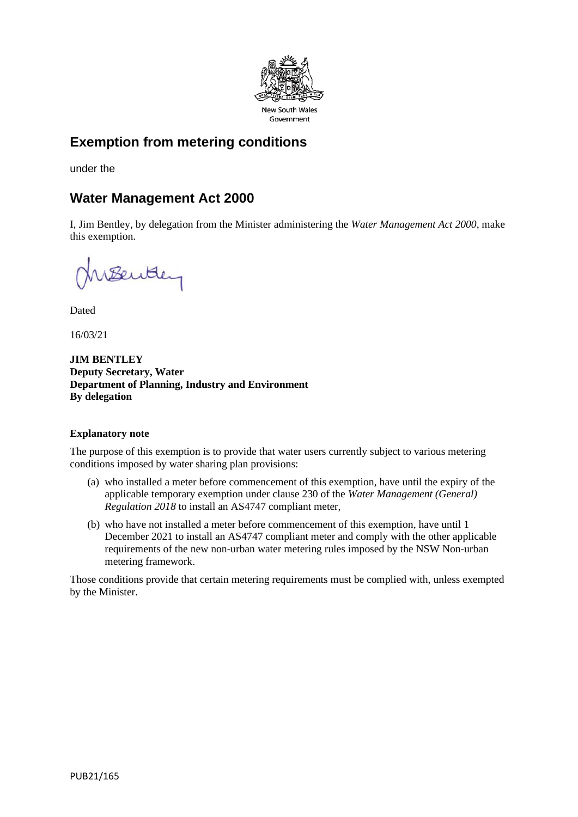

# **Exemption from metering conditions**

under the

## **Water Management Act 2000**

I, Jim Bentley, by delegation from the Minister administering the *Water Management Act 2000*, make this exemption.

Benttery

Dated

16/03/21

**JIM BENTLEY Deputy Secretary, Water Department of Planning, Industry and Environment By delegation**

### **Explanatory note**

The purpose of this exemption is to provide that water users currently subject to various metering conditions imposed by water sharing plan provisions:

- (a) who installed a meter before commencement of this exemption, have until the expiry of the applicable temporary exemption under clause 230 of the *Water Management (General) Regulation 2018* to install an AS4747 compliant meter,
- (b) who have not installed a meter before commencement of this exemption, have until 1 December 2021 to install an AS4747 compliant meter and comply with the other applicable requirements of the new non-urban water metering rules imposed by the NSW Non-urban metering framework.

Those conditions provide that certain metering requirements must be complied with, unless exempted by the Minister.